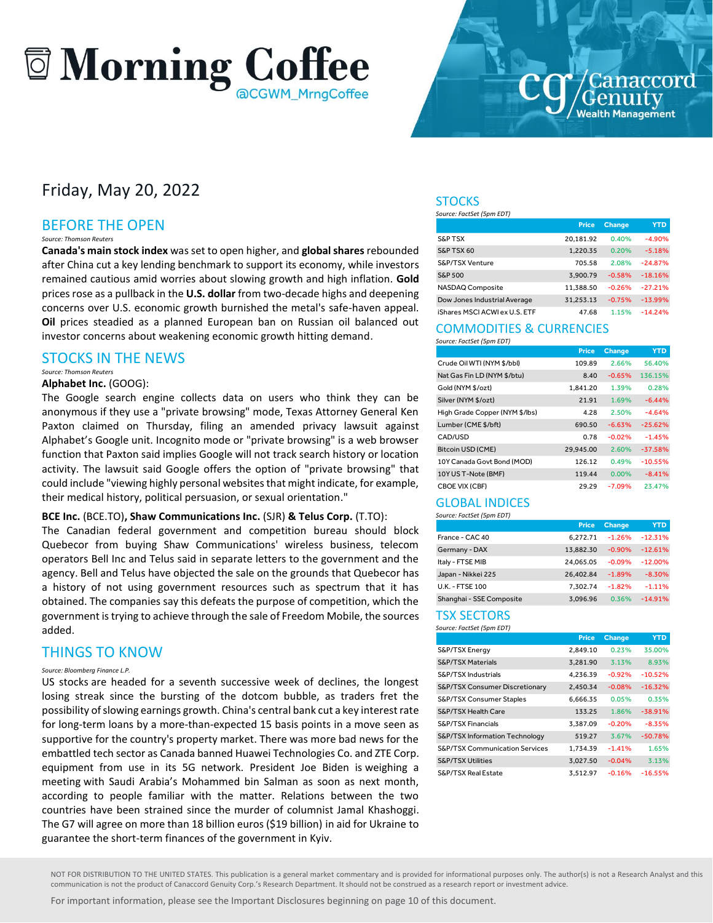### **Morning Coffee** aCGWM MrngCoffee

### Friday, May 20, 2022

#### BEFORE THE OPEN

#### *Source: Thomson Reuters*

**Canada's main stock index** was set to open higher, and **global shares**rebounded after China cut a key lending benchmark to support its economy, while investors remained cautious amid worries about slowing growth and high inflation. **Gold**  prices rose as a pullback in the **U.S. dollar** from two-decade highs and deepening concerns over U.S. economic growth burnished the metal's safe-haven appeal. **Oil** prices steadied as a planned European ban on Russian oil balanced out investor concerns about weakening economic growth hitting demand.

#### STOCKS IN THE NEWS

#### *Source: Thomson Reuters*

#### **Alphabet Inc.** (GOOG):

The Google search engine collects data on users who think they can be anonymous if they use a "private browsing" mode, Texas Attorney General Ken Paxton claimed on Thursday, filing an amended privacy lawsuit against Alphabet's Google unit. Incognito mode or "private browsing" is a web browser function that Paxton said implies Google will not track search history or location activity. The lawsuit said Google offers the option of "private browsing" that could include "viewing highly personal websites that might indicate, for example, their medical history, political persuasion, or sexual orientation."

#### **BCE Inc.** (BCE.TO)**, Shaw Communications Inc.** (SJR) **& Telus Corp.** (T.TO):

The Canadian federal government and competition bureau should block Quebecor from buying Shaw Communications' wireless business, telecom operators Bell Inc and Telus said in separate letters to the government and the agency. Bell and Telus have objected the sale on the grounds that Quebecor has a history of not using government resources such as spectrum that it has obtained. The companies say this defeats the purpose of competition, which the government is trying to achieve through the sale of Freedom Mobile, the sources added.

#### THINGS TO KNOW

#### *Source: Bloomberg Finance L.P.*

US stocks are headed for a seventh successive week of declines, the longest losing streak since the bursting of the dotcom bubble, as traders fret the possibility of slowing earnings growth. China's central bank cut a key interest rate for long-term loans by a more-than-expected 15 basis points in a move seen as supportive for the country's property market. There was more bad news for the embattled tech sector as Canada banned Huawei Technologies Co. and ZTE Corp. equipment from use in its 5G network. President Joe Biden is weighing a meeting with Saudi Arabia's Mohammed bin Salman as soon as next month, according to people familiar with the matter. Relations between the two countries have been strained since the murder of columnist Jamal Khashoggi. The G7 will agree on more than 18 billion euros (\$19 billion) in aid for Ukraine to guarantee the short-term finances of the government in Kyiv.

#### **STOCKS**

*Source: FactSet (5pm EDT)* 

|                               | <b>Price</b> | <b>Change</b> | <b>YTD</b> |
|-------------------------------|--------------|---------------|------------|
| <b>S&amp;P TSX</b>            | 20.181.92    | 0.40%         | $-4.90%$   |
| S&P TSX 60                    | 1.220.35     | 0.20%         | $-5.18%$   |
| S&P/TSX Venture               | 705.58       | 2.08%         | $-24.87%$  |
| S&P 500                       | 3.900.79     | $-0.58%$      | $-18.16%$  |
| NASDAQ Composite              | 11.388.50    | $-0.26%$      | $-27.21%$  |
| Dow Jones Industrial Average  | 31.253.13    | $-0.75%$      | $-13.99%$  |
| iShares MSCI ACWI ex U.S. ETF | 47.68        | 1.15%         | $-14.24%$  |

#### COMMODITIES & CURRENCIES *Source: FactSet (5pm EDT)*

|                                | <b>Price</b> | <b>Change</b> | <b>YTD</b> |
|--------------------------------|--------------|---------------|------------|
| Crude Oil WTI (NYM \$/bbl)     | 109.89       | 2.66%         | 56.40%     |
| Nat Gas Fin LD (NYM \$/btu)    | 8.40         | $-0.65%$      | 136.15%    |
| Gold (NYM \$/ozt)              | 1.841.20     | 1.39%         | 0.28%      |
| Silver (NYM \$/ozt)            | 21.91        | 1.69%         | $-6.44%$   |
| High Grade Copper (NYM \$/lbs) | 4.28         | 2.50%         | $-4.64%$   |
| Lumber (CME \$/bft)            | 690.50       | $-6.63%$      | $-25.62%$  |
| CAD/USD                        | 0.78         | $-0.02%$      | $-1.45%$   |
| Bitcoin USD (CME)              | 29,945.00    | 2.60%         | $-37.58%$  |
| 10Y Canada Govt Bond (MOD)     | 126.12       | 0.49%         | $-10.55%$  |
| 10Y US T-Note (BMF)            | 119.44       | 0.00%         | $-8.41%$   |
| CBOE VIX (CBF)                 | 29.29        | $-7.09%$      | 23.47%     |

#### GLOBAL INDICES *Source: FactSet (5pm EDT)*

|                          | <b>Price</b> | <b>Change</b> | <b>YTD</b> |
|--------------------------|--------------|---------------|------------|
| France - CAC 40          | 6,272.71     | $-1.26%$      | $-12.31%$  |
| Germany - DAX            | 13.882.30    | $-0.90%$      | $-12.61%$  |
| Italy - FTSE MIB         | 24,065.05    | $-0.09%$      | $-12.00%$  |
| Japan - Nikkei 225       | 26.402.84    | $-1.89%$      | $-8.30%$   |
| U.K. - FTSE 100          | 7.302.74     | $-1.82%$      | $-1.11%$   |
| Shanghai - SSE Composite | 3.096.96     | 0.36%         | $-14.91%$  |

#### TSX SECTORS *Source: FactSet (5pm EDT)*

|                                           | <b>Price</b> | <b>Change</b> | <b>YTD</b> |
|-------------------------------------------|--------------|---------------|------------|
| S&P/TSX Energy                            | 2.849.10     | 0.23%         | 35.00%     |
| <b>S&amp;P/TSX Materials</b>              | 3,281.90     | 3.13%         | 8.93%      |
| S&P/TSX Industrials                       | 4.236.39     | $-0.92%$      | $-10.52%$  |
| S&P/TSX Consumer Discretionary            | 2,450.34     | $-0.08%$      | $-16.32%$  |
| S&P/TSX Consumer Staples                  | 6.666.35     | 0.05%         | 0.35%      |
| S&P/TSX Health Care                       | 133.25       | 1.86%         | $-38.91%$  |
| <b>S&amp;P/TSX Financials</b>             | 3.387.09     | $-0.20%$      | $-8.35%$   |
| S&P/TSX Information Technology            | 519.27       | 3.67%         | $-50.78%$  |
| <b>S&amp;P/TSX Communication Services</b> | 1.734.39     | $-1.41%$      | 1.65%      |
| <b>S&amp;P/TSX Utilities</b>              | 3.027.50     | $-0.04%$      | 3.13%      |
| S&P/TSX Real Estate                       | 3.512.97     | $-0.16%$      | $-16.55%$  |

NOT FOR DISTRIBUTION TO THE UNITED STATES. This publication is a general market commentary and is provided for informational purposes only. The author(s) is not a Research Analyst and this communication is not the product of Canaccord Genuity Corp.'s Research Department. It should not be construed as a research report or investment advice.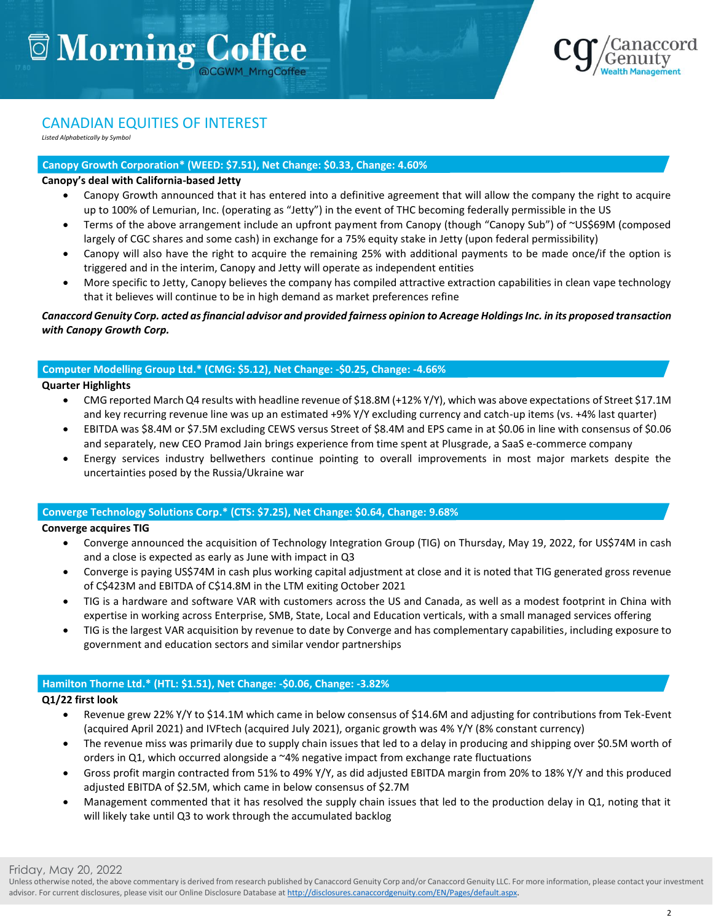

#### CANADIAN EQUITIES OF INTEREST

*Listed Alphabetically by Symbol*

#### **Canopy Growth Corporation\* (WEED: \$7.51), Net Change: \$0.33, Change: 4.60%**

#### **Canopy's deal with California-based Jetty**

- Canopy Growth announced that it has entered into a definitive agreement that will allow the company the right to acquire up to 100% of Lemurian, Inc. (operating as "Jetty") in the event of THC becoming federally permissible in the US
- Terms of the above arrangement include an upfront payment from Canopy (though "Canopy Sub") of ~US\$69M (composed largely of CGC shares and some cash) in exchange for a 75% equity stake in Jetty (upon federal permissibility)
- Canopy will also have the right to acquire the remaining 25% with additional payments to be made once/if the option is triggered and in the interim, Canopy and Jetty will operate as independent entities
- More specific to Jetty, Canopy believes the company has compiled attractive extraction capabilities in clean vape technology that it believes will continue to be in high demand as market preferences refine

#### *Canaccord Genuity Corp. acted as financial advisor and provided fairness opinion to Acreage Holdings Inc. in its proposed transaction with Canopy Growth Corp.*

#### **Computer Modelling Group Ltd.\* (CMG: \$5.12), Net Change: -\$0.25, Change: -4.66%**

#### **Quarter Highlights**

- CMG reported March Q4 results with headline revenue of \$18.8M (+12% Y/Y), which was above expectations of Street \$17.1M and key recurring revenue line was up an estimated +9% Y/Y excluding currency and catch-up items (vs. +4% last quarter)
- EBITDA was \$8.4M or \$7.5M excluding CEWS versus Street of \$8.4M and EPS came in at \$0.06 in line with consensus of \$0.06 and separately, new CEO Pramod Jain brings experience from time spent at Plusgrade, a SaaS e-commerce company
- Energy services industry bellwethers continue pointing to overall improvements in most major markets despite the uncertainties posed by the Russia/Ukraine war

#### **Converge Technology Solutions Corp.\* (CTS: \$7.25), Net Change: \$0.64, Change: 9.68%**

#### **Converge acquires TIG**

- Converge announced the acquisition of Technology Integration Group (TIG) on Thursday, May 19, 2022, for US\$74M in cash and a close is expected as early as June with impact in Q3
- Converge is paying US\$74M in cash plus working capital adjustment at close and it is noted that TIG generated gross revenue of C\$423M and EBITDA of C\$14.8M in the LTM exiting October 2021
- TIG is a hardware and software VAR with customers across the US and Canada, as well as a modest footprint in China with expertise in working across Enterprise, SMB, State, Local and Education verticals, with a small managed services offering
- TIG is the largest VAR acquisition by revenue to date by Converge and has complementary capabilities, including exposure to government and education sectors and similar vendor partnerships

#### **Hamilton Thorne Ltd.\* (HTL: \$1.51), Net Change: -\$0.06, Change: -3.82%**

#### **Q1/22 first look**

- Revenue grew 22% Y/Y to \$14.1M which came in below consensus of \$14.6M and adjusting for contributions from Tek-Event (acquired April 2021) and IVFtech (acquired July 2021), organic growth was 4% Y/Y (8% constant currency)
- The revenue miss was primarily due to supply chain issues that led to a delay in producing and shipping over \$0.5M worth of orders in Q1, which occurred alongside a ~4% negative impact from exchange rate fluctuations
- Gross profit margin contracted from 51% to 49% Y/Y, as did adjusted EBITDA margin from 20% to 18% Y/Y and this produced adjusted EBITDA of \$2.5M, which came in below consensus of \$2.7M
- Management commented that it has resolved the supply chain issues that led to the production delay in Q1, noting that it will likely take until Q3 to work through the accumulated backlog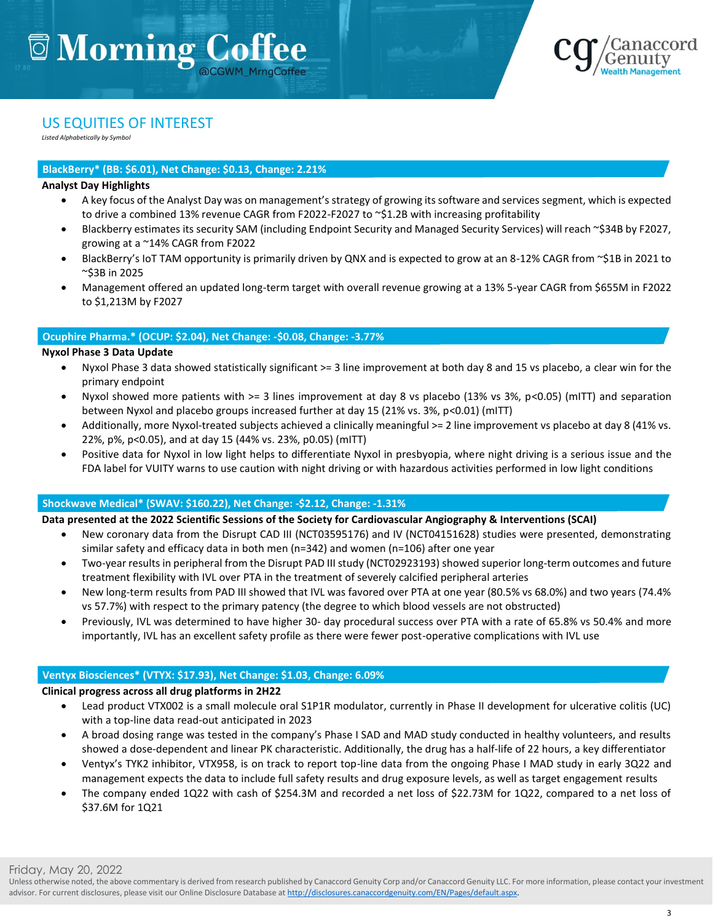

#### US EQUITIES OF INTEREST

*Listed Alphabetically by Symbol*

#### **BlackBerry\* (BB: \$6.01), Net Change: \$0.13, Change: 2.21%**

#### **Analyst Day Highlights**

- A key focus of the Analyst Day was on management's strategy of growing its software and services segment, which is expected to drive a combined 13% revenue CAGR from F2022-F2027 to ~\$1.2B with increasing profitability
- Blackberry estimates its security SAM (including Endpoint Security and Managed Security Services) will reach ~\$34B by F2027, growing at a ~14% CAGR from F2022
- BlackBerry's IoT TAM opportunity is primarily driven by QNX and is expected to grow at an 8-12% CAGR from ~\$1B in 2021 to ~\$3B in 2025
- Management offered an updated long-term target with overall revenue growing at a 13% 5-year CAGR from \$655M in F2022 to \$1,213M by F2027

#### **Ocuphire Pharma.\* (OCUP: \$2.04), Net Change: -\$0.08, Change: -3.77%**

#### **Nyxol Phase 3 Data Update**

- Nyxol Phase 3 data showed statistically significant >= 3 line improvement at both day 8 and 15 vs placebo, a clear win for the primary endpoint
- Nyxol showed more patients with >= 3 lines improvement at day 8 vs placebo (13% vs 3%, p<0.05) (mITT) and separation between Nyxol and placebo groups increased further at day 15 (21% vs. 3%, p<0.01) (mITT)
- Additionally, more Nyxol-treated subjects achieved a clinically meaningful >= 2 line improvement vs placebo at day 8 (41% vs. 22%, p%, p<0.05), and at day 15 (44% vs. 23%, p0.05) (mITT)
- Positive data for Nyxol in low light helps to differentiate Nyxol in presbyopia, where night driving is a serious issue and the FDA label for VUITY warns to use caution with night driving or with hazardous activities performed in low light conditions

#### **Shockwave Medical\* (SWAV: \$160.22), Net Change: -\$2.12, Change: -1.31%**

#### **Data presented at the 2022 Scientific Sessions of the Society for Cardiovascular Angiography & Interventions (SCAI)**

- New coronary data from the Disrupt CAD III (NCT03595176) and IV (NCT04151628) studies were presented, demonstrating similar safety and efficacy data in both men (n=342) and women (n=106) after one year
- Two-year results in peripheral from the Disrupt PAD III study (NCT02923193) showed superior long-term outcomes and future treatment flexibility with IVL over PTA in the treatment of severely calcified peripheral arteries
- New long-term results from PAD III showed that IVL was favored over PTA at one year (80.5% vs 68.0%) and two years (74.4% vs 57.7%) with respect to the primary patency (the degree to which blood vessels are not obstructed)
- Previously, IVL was determined to have higher 30- day procedural success over PTA with a rate of 65.8% vs 50.4% and more importantly, IVL has an excellent safety profile as there were fewer post-operative complications with IVL use

#### **Ventyx Biosciences\* (VTYX: \$17.93), Net Change: \$1.03, Change: 6.09%**

#### **Clinical progress across all drug platforms in 2H22**

- Lead product VTX002 is a small molecule oral S1P1R modulator, currently in Phase II development for ulcerative colitis (UC) with a top-line data read-out anticipated in 2023
- A broad dosing range was tested in the company's Phase I SAD and MAD study conducted in healthy volunteers, and results showed a dose-dependent and linear PK characteristic. Additionally, the drug has a half-life of 22 hours, a key differentiator
- Ventyx's TYK2 inhibitor, VTX958, is on track to report top-line data from the ongoing Phase I MAD study in early 3Q22 and management expects the data to include full safety results and drug exposure levels, as well as target engagement results
- The company ended 1Q22 with cash of \$254.3M and recorded a net loss of \$22.73M for 1Q22, compared to a net loss of \$37.6M for 1Q21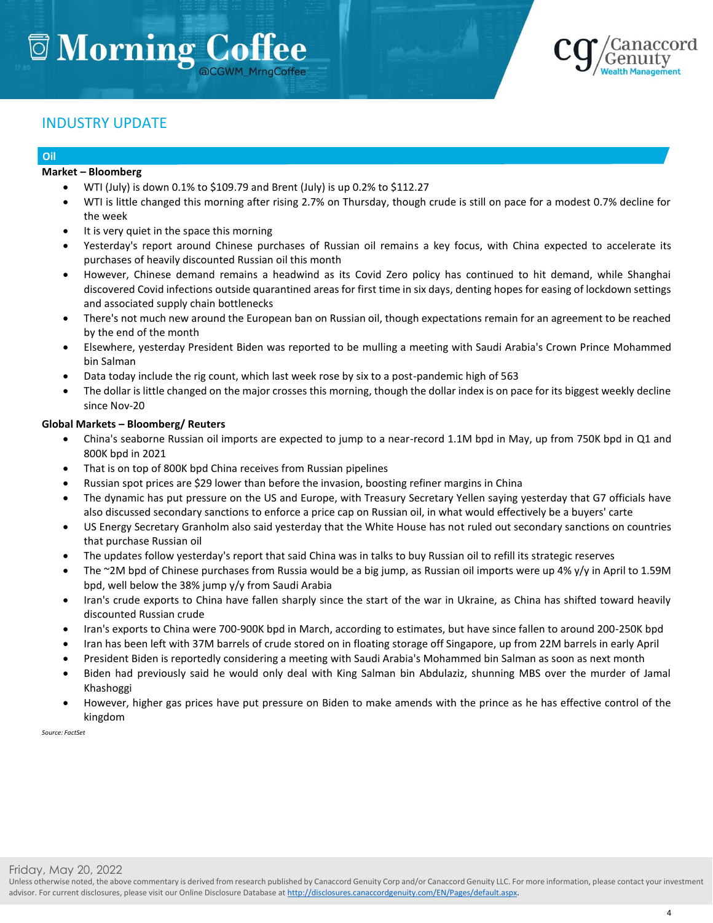

#### INDUSTRY UPDATE

#### **Oil**

#### **Market – Bloomberg**

- WTI (July) is down 0.1% to \$109.79 and Brent (July) is up 0.2% to \$112.27
- WTI is little changed this morning after rising 2.7% on Thursday, though crude is still on pace for a modest 0.7% decline for the week
- It is very quiet in the space this morning
- Yesterday's report around Chinese purchases of Russian oil remains a key focus, with China expected to accelerate its purchases of heavily discounted Russian oil this month
- However, Chinese demand remains a headwind as its Covid Zero policy has continued to hit demand, while Shanghai discovered Covid infections outside quarantined areas for first time in six days, denting hopes for easing of lockdown settings and associated supply chain bottlenecks
- There's not much new around the European ban on Russian oil, though expectations remain for an agreement to be reached by the end of the month
- Elsewhere, yesterday President Biden was reported to be mulling a meeting with Saudi Arabia's Crown Prince Mohammed bin Salman
- Data today include the rig count, which last week rose by six to a post-pandemic high of 563
- The dollar is little changed on the major crosses this morning, though the dollar index is on pace for its biggest weekly decline since Nov-20

#### **Global Markets – Bloomberg/ Reuters**

- China's seaborne Russian oil imports are expected to jump to a near-record 1.1M bpd in May, up from 750K bpd in Q1 and 800K bpd in 2021
- That is on top of 800K bpd China receives from Russian pipelines
- Russian spot prices are \$29 lower than before the invasion, boosting refiner margins in China
- The dynamic has put pressure on the US and Europe, with Treasury Secretary Yellen saying yesterday that G7 officials have also discussed secondary sanctions to enforce a price cap on Russian oil, in what would effectively be a buyers' carte
- US Energy Secretary Granholm also said yesterday that the White House has not ruled out secondary sanctions on countries that purchase Russian oil
- The updates follow yesterday's report that said China was in talks to buy Russian oil to refill its strategic reserves
- The ~2M bpd of Chinese purchases from Russia would be a big jump, as Russian oil imports were up 4% y/y in April to 1.59M bpd, well below the 38% jump y/y from Saudi Arabia
- Iran's crude exports to China have fallen sharply since the start of the war in Ukraine, as China has shifted toward heavily discounted Russian crude
- Iran's exports to China were 700-900K bpd in March, according to estimates, but have since fallen to around 200-250K bpd
- Iran has been left with 37M barrels of crude stored on in floating storage off Singapore, up from 22M barrels in early April
- President Biden is reportedly considering a meeting with Saudi Arabia's Mohammed bin Salman as soon as next month
- Biden had previously said he would only deal with King Salman bin Abdulaziz, shunning MBS over the murder of Jamal Khashoggi
- However, higher gas prices have put pressure on Biden to make amends with the prince as he has effective control of the kingdom

*Source: FactSet*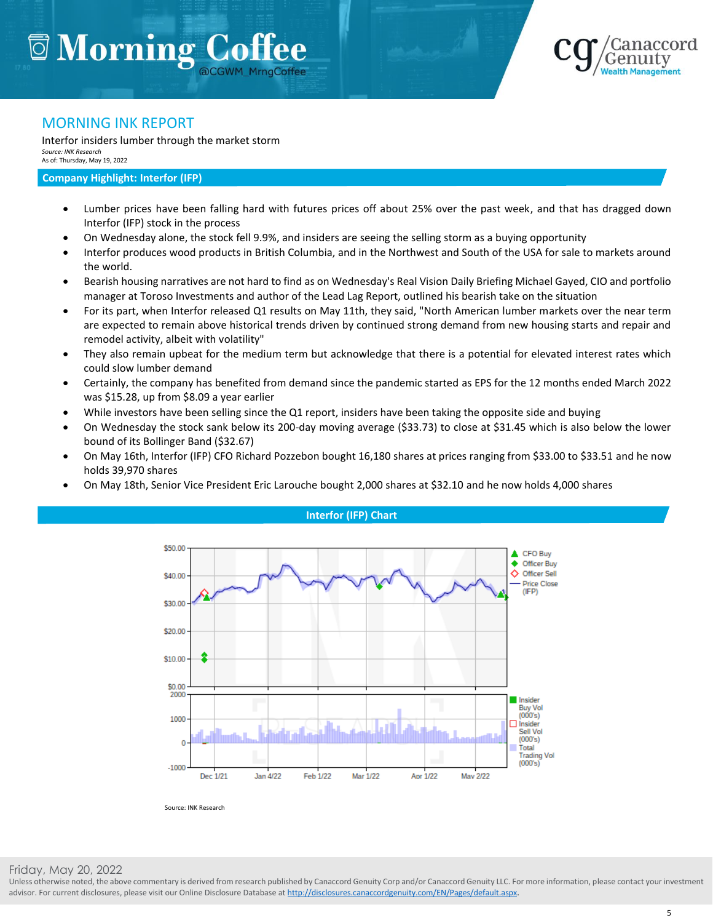

#### MORNING INK REPORT

Interfor insiders lumber through the market storm *Source: INK Research* As of: Thursday, May 19, 2022

#### **Company Highlight: Interfor (IFP)**

- Lumber prices have been falling hard with futures prices off about 25% over the past week, and that has dragged down Interfor (IFP) stock in the process
- On Wednesday alone, the stock fell 9.9%, and insiders are seeing the selling storm as a buying opportunity
- Interfor produces wood products in British Columbia, and in the Northwest and South of the USA for sale to markets around the world.
- Bearish housing narratives are not hard to find as on Wednesday's Real Vision Daily Briefing Michael Gayed, CIO and portfolio manager at Toroso Investments and author of the Lead Lag Report, outlined his bearish take on the situation
- For its part, when Interfor released Q1 results on May 11th, they said, "North American lumber markets over the near term are expected to remain above historical trends driven by continued strong demand from new housing starts and repair and remodel activity, albeit with volatility"
- They also remain upbeat for the medium term but acknowledge that there is a potential for elevated interest rates which could slow lumber demand
- Certainly, the company has benefited from demand since the pandemic started as EPS for the 12 months ended March 2022 was \$15.28, up from \$8.09 a year earlier
- While investors have been selling since the Q1 report, insiders have been taking the opposite side and buying
- On Wednesday the stock sank below its 200-day moving average (\$33.73) to close at \$31.45 which is also below the lower bound of its Bollinger Band (\$32.67)
- On May 16th, Interfor (IFP) CFO Richard Pozzebon bought 16,180 shares at prices ranging from \$33.00 to \$33.51 and he now holds 39,970 shares
- On May 18th, Senior Vice President Eric Larouche bought 2,000 shares at \$32.10 and he now holds 4,000 shares



**Interfor (IFP) Chart**

Friday, May 20, 2022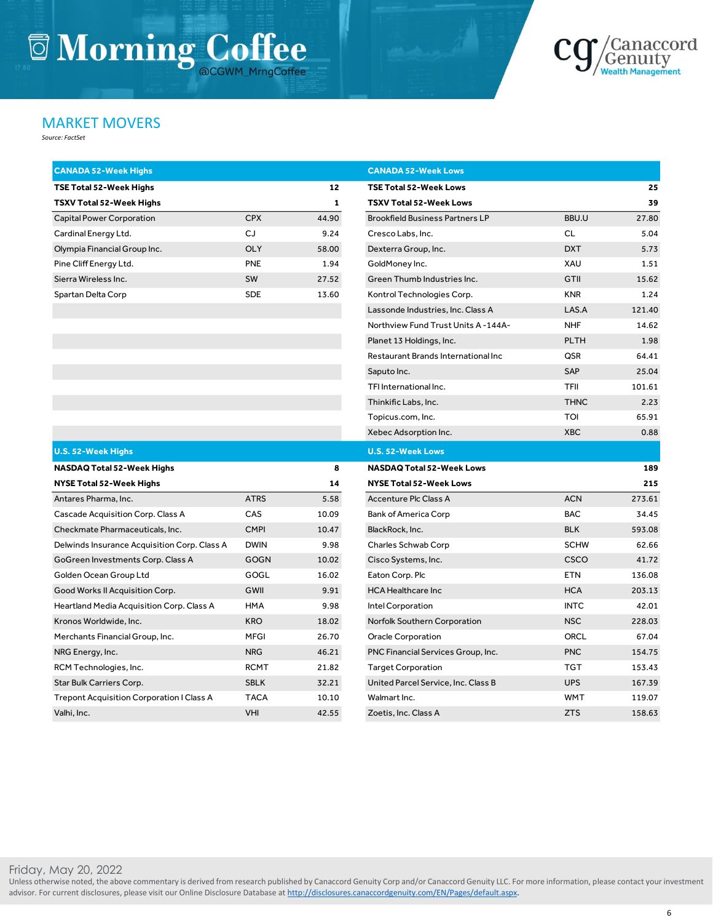# **Jackson Morning Coffee**



#### MARKET MOVERS

*Source: FactSet*

|            | 12    |
|------------|-------|
|            | 1     |
| <b>CPX</b> | 44.90 |
| CJ.        | 9.24  |
| OL Y       | 58.00 |
| <b>PNF</b> | 1.94  |
| <b>SW</b>  | 27.52 |
| <b>SDE</b> | 13.60 |
|            |       |

| Capital Power Corporation                    | <b>CPX</b>  | 44.90 | <b>Brookfield Business Partners LP</b> | BBU.U       | 27.80  |
|----------------------------------------------|-------------|-------|----------------------------------------|-------------|--------|
| Cardinal Energy Ltd.                         | CJ          | 9.24  | Cresco Labs, Inc.                      | <b>CL</b>   | 5.04   |
| Olympia Financial Group Inc.                 | OLY         | 58.00 | Dexterra Group, Inc.                   | <b>DXT</b>  | 5.73   |
| Pine Cliff Energy Ltd.                       | <b>PNE</b>  | 1.94  | GoldMoney Inc.                         | XAU         | 1.51   |
| Sierra Wireless Inc.                         | SW          | 27.52 | Green Thumb Industries Inc.            | GTII        | 15.62  |
| Spartan Delta Corp                           | <b>SDE</b>  | 13.60 | Kontrol Technologies Corp.             | <b>KNR</b>  | 1.24   |
|                                              |             |       | Lassonde Industries, Inc. Class A      | LAS.A       | 121.40 |
|                                              |             |       | Northview Fund Trust Units A-144A-     | <b>NHF</b>  | 14.62  |
|                                              |             |       | Planet 13 Holdings, Inc.               | <b>PLTH</b> | 1.98   |
|                                              |             |       | Restaurant Brands International Inc    | QSR         | 64.41  |
|                                              |             |       | Saputo Inc.                            | <b>SAP</b>  | 25.04  |
|                                              |             |       | TFI International Inc.                 | <b>TFII</b> | 101.61 |
|                                              |             |       | Thinkific Labs, Inc.                   | <b>THNC</b> | 2.23   |
|                                              |             |       | Topicus.com, Inc.                      | <b>TOI</b>  | 65.91  |
|                                              |             |       | Xebec Adsorption Inc.                  | <b>XBC</b>  | 0.88   |
| <b>U.S. 52-Week Highs</b>                    |             |       | <b>U.S. 52-Week Lows</b>               |             |        |
| NASDAQ Total 52-Week Highs                   |             | 8     | <b>NASDAQ Total 52-Week Lows</b>       |             | 189    |
| NYSE Total 52-Week Highs                     |             | 14    | <b>NYSE Total 52-Week Lows</b>         |             | 215    |
| Antares Pharma, Inc.                         | <b>ATRS</b> | 5.58  | <b>Accenture Plc Class A</b>           | <b>ACN</b>  | 273.61 |
| <b>Cascade Acquisition Corp. Class A</b>     | CAS         | 10.09 | Bank of America Corp                   | <b>BAC</b>  | 34.45  |
| Checkmate Pharmaceuticals, Inc.              | <b>CMPI</b> | 10.47 | BlackRock, Inc.                        | <b>BLK</b>  | 593.08 |
| Delwinds Insurance Acquisition Corp. Class A | <b>DWIN</b> | 9.98  | Charles Schwab Corp                    | <b>SCHW</b> | 62.66  |
| GoGreen Investments Corp. Class A            | <b>GOGN</b> | 10.02 | Cisco Systems, Inc.                    | CSCO        | 41.72  |
| Golden Ocean Group Ltd                       | GOGL        | 16.02 | Eaton Corp. Plc                        | <b>ETN</b>  | 136.08 |
| Good Works II Acquisition Corp.              | GWII        | 9.91  | <b>HCA Healthcare Inc</b>              | <b>HCA</b>  | 203.13 |
| Heartland Media Acquisition Corp. Class A    | <b>HMA</b>  | 9.98  | Intel Corporation                      | <b>INTC</b> | 42.01  |
| Kronos Worldwide, Inc.                       | <b>KRO</b>  | 18.02 | Norfolk Southern Corporation           | <b>NSC</b>  | 228.03 |
| Merchants Financial Group, Inc.              | <b>MFGI</b> | 26.70 | <b>Oracle Corporation</b>              | <b>ORCL</b> | 67.04  |
| NRG Enerav. Inc.                             | <b>NRG</b>  | 46.21 | PNC Financial Services Group. Inc.     | <b>PNC</b>  | 154.75 |

**TSE Total 52-Week Highs 1 2 TSE Total 52-Week Lows 2 5 TSXV Total 52-Week Highs 1 TSXV Total 52-Week Lows 3 9**

**CANADA 52-Week Highs CANADA 52-Week Lows**

| <b>U.S. 52-Week Highs</b>                    |             |       | <b>U.S. 52-Week Lows</b>            |             |        |
|----------------------------------------------|-------------|-------|-------------------------------------|-------------|--------|
| <b>NASDAQ Total 52-Week Highs</b>            |             | 8     | <b>NASDAQ Total 52-Week Lows</b>    |             | 189    |
| NYSE Total 52-Week Highs                     |             | 14    | <b>NYSE Total 52-Week Lows</b>      |             | 215    |
| Antares Pharma, Inc.                         | <b>ATRS</b> | 5.58  | Accenture Plc Class A               | <b>ACN</b>  | 273.61 |
| Cascade Acquisition Corp. Class A            | CAS         | 10.09 | <b>Bank of America Corp</b>         | <b>BAC</b>  | 34.45  |
| Checkmate Pharmaceuticals, Inc.              | <b>CMPI</b> | 10.47 | BlackRock, Inc.                     | <b>BLK</b>  | 593.08 |
| Delwinds Insurance Acquisition Corp. Class A | <b>DWIN</b> | 9.98  | Charles Schwab Corp                 | <b>SCHW</b> | 62.66  |
| GoGreen Investments Corp. Class A            | <b>GOGN</b> | 10.02 | Cisco Systems, Inc.                 | <b>CSCO</b> | 41.72  |
| Golden Ocean Group Ltd                       | GOGL        | 16.02 | Eaton Corp. Plc                     | <b>ETN</b>  | 136.08 |
| Good Works II Acquisition Corp.              | GWII        | 9.91  | <b>HCA Healthcare Inc</b>           | <b>HCA</b>  | 203.13 |
| Heartland Media Acquisition Corp. Class A    | HMA         | 9.98  | Intel Corporation                   | <b>INTC</b> | 42.01  |
| Kronos Worldwide, Inc.                       | <b>KRO</b>  | 18.02 | Norfolk Southern Corporation        | <b>NSC</b>  | 228.03 |
| Merchants Financial Group, Inc.              | <b>MFGI</b> | 26.70 | Oracle Corporation                  | <b>ORCL</b> | 67.04  |
| NRG Energy, Inc.                             | <b>NRG</b>  | 46.21 | PNC Financial Services Group, Inc.  | <b>PNC</b>  | 154.75 |
| RCM Technologies, Inc.                       | <b>RCMT</b> | 21.82 | <b>Target Corporation</b>           | <b>TGT</b>  | 153.43 |
| Star Bulk Carriers Corp.                     | <b>SBLK</b> | 32.21 | United Parcel Service, Inc. Class B | <b>UPS</b>  | 167.39 |
| Trepont Acquisition Corporation I Class A    | <b>TACA</b> | 10.10 | Walmart Inc.                        | <b>WMT</b>  | 119.07 |
| Valhi, Inc.                                  | VHI         | 42.55 | Zoetis, Inc. Class A                | <b>ZTS</b>  | 158.63 |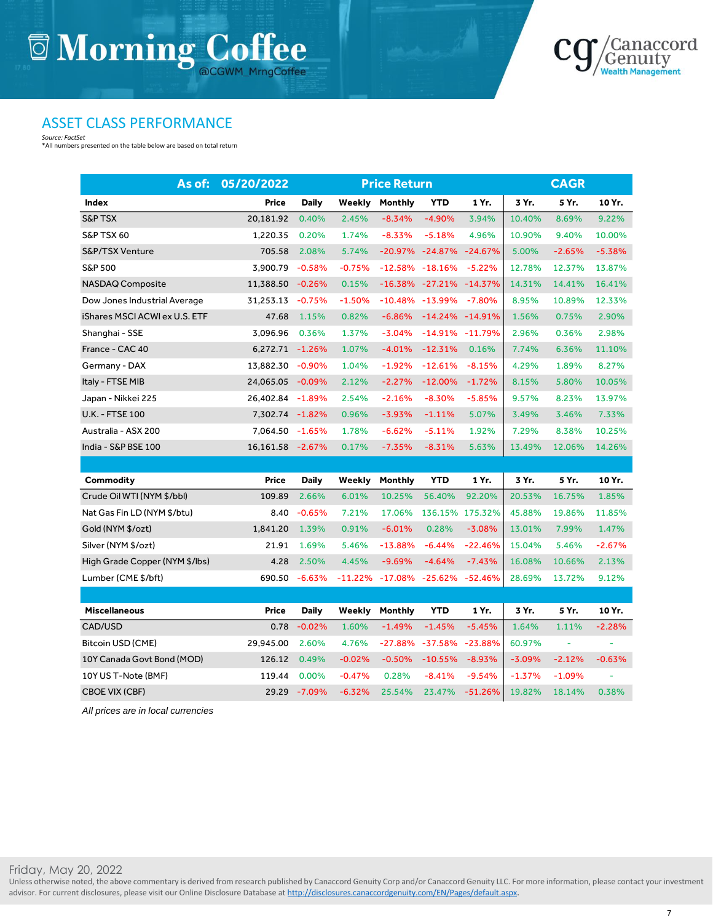

#### ASSET CLASS PERFORMANCE

*Source: FactSet* \*All numbers presented on the table below are based on total return

| As of:                         | 05/20/2022       |              |          | <b>Price Return</b>          |                              |           |          | <b>CAGR</b> |          |
|--------------------------------|------------------|--------------|----------|------------------------------|------------------------------|-----------|----------|-------------|----------|
| Index                          | Price            | <b>Daily</b> | Weekly   | Monthly                      | <b>YTD</b>                   | 1 Yr.     | 3 Yr.    | 5 Yr.       | 10 Yr.   |
| <b>S&amp;P TSX</b>             | 20,181.92        | 0.40%        | 2.45%    | $-8.34%$                     | $-4.90%$                     | 3.94%     | 10.40%   | 8.69%       | 9.22%    |
| S&P TSX 60                     | 1,220.35         | 0.20%        | 1.74%    | $-8.33%$                     | $-5.18%$                     | 4.96%     | 10.90%   | 9.40%       | 10.00%   |
| S&P/TSX Venture                | 705.58           | 2.08%        | 5.74%    |                              | -20.97% -24.87% -24.67%      |           | 5.00%    | $-2.65%$    | $-5.38%$ |
| S&P 500                        | 3,900.79         | $-0.58%$     | $-0.75%$ |                              | $-12.58\% -18.16\%$          | $-5.22%$  | 12.78%   | 12.37%      | 13.87%   |
| NASDAQ Composite               | 11,388.50        | $-0.26%$     | 0.15%    |                              | $-16.38\% -27.21\% -14.37\%$ |           | 14.31%   | 14.41%      | 16.41%   |
| Dow Jones Industrial Average   | 31,253.13 -0.75% |              | $-1.50%$ |                              | $-10.48\% -13.99\%$          | $-7.80%$  | 8.95%    | 10.89%      | 12.33%   |
| iShares MSCI ACWI ex U.S. ETF  | 47.68            | 1.15%        | 0.82%    | $-6.86%$                     | $-14.24\% -14.91\%$          |           | 1.56%    | 0.75%       | 2.90%    |
| Shanghai - SSE                 | 3.096.96         | 0.36%        | 1.37%    | $-3.04%$                     | $-14.91\% -11.79\%$          |           | 2.96%    | 0.36%       | 2.98%    |
| France - CAC 40                | 6,272.71 -1.26%  |              | 1.07%    | $-4.01%$                     | $-12.31%$                    | 0.16%     | 7.74%    | 6.36%       | 11.10%   |
| Germany - DAX                  | 13,882.30        | $-0.90\%$    | 1.04%    | $-1.92%$                     | $-12.61%$                    | $-8.15%$  | 4.29%    | 1.89%       | 8.27%    |
| Italy - FTSE MIB               | 24,065.05 -0.09% |              | 2.12%    | $-2.27%$                     | $-12.00%$                    | $-1.72%$  | 8.15%    | 5.80%       | 10.05%   |
| Japan - Nikkei 225             | 26,402.84 -1.89% |              | 2.54%    | $-2.16%$                     | $-8.30%$                     | $-5.85%$  | 9.57%    | 8.23%       | 13.97%   |
| <b>U.K. - FTSE 100</b>         | 7,302.74 -1.82%  |              | 0.96%    | $-3.93%$                     | $-1.11%$                     | 5.07%     | 3.49%    | 3.46%       | 7.33%    |
| Australia - ASX 200            | 7,064.50 -1.65%  |              | 1.78%    | $-6.62%$                     | $-5.11%$                     | 1.92%     | 7.29%    | 8.38%       | 10.25%   |
| India - S&P BSE 100            | 16,161.58 -2.67% |              | 0.17%    | $-7.35%$                     | $-8.31%$                     | 5.63%     | 13.49%   | 12.06%      | 14.26%   |
|                                |                  |              |          |                              |                              |           |          |             |          |
| Commodity                      | Price            | Daily        | Weekly   | Monthly                      | <b>YTD</b>                   | 1 Yr.     | 3 Yr.    | 5 Yr.       | 10 Yr.   |
| Crude Oil WTI (NYM \$/bbl)     | 109.89           | 2.66%        | 6.01%    | 10.25%                       | 56.40%                       | 92.20%    | 20.53%   | 16.75%      | 1.85%    |
| Nat Gas Fin LD (NYM \$/btu)    | 8.40             | $-0.65%$     | 7.21%    | 17.06%                       | 136.15% 175.32%              |           | 45.88%   | 19.86%      | 11.85%   |
| Gold (NYM \$/ozt)              | 1,841.20         | 1.39%        | 0.91%    | $-6.01%$                     | 0.28%                        | $-3.08%$  | 13.01%   | 7.99%       | 1.47%    |
| Silver (NYM \$/ozt)            | 21.91            | 1.69%        | 5.46%    | $-13.88%$                    | $-6.44%$                     | $-22.46%$ | 15.04%   | 5.46%       | $-2.67%$ |
| High Grade Copper (NYM \$/lbs) | 4.28             | 2.50%        | 4.45%    | $-9.69%$                     | $-4.64%$                     | $-7.43%$  | 16.08%   | 10.66%      | 2.13%    |
| Lumber (CME \$/bft)            | 690.50           | $-6.63%$     |          | $-11.22\% -17.08\% -25.62\%$ |                              | $-52.46%$ | 28.69%   | 13.72%      | 9.12%    |
|                                |                  |              |          |                              |                              |           |          |             |          |
| <b>Miscellaneous</b>           | Price            | <b>Daily</b> | Weekly   | Monthly                      | <b>YTD</b>                   | 1 Yr.     | 3 Yr.    | 5 Yr.       | 10 Yr.   |
| CAD/USD                        | 0.78             | $-0.02%$     | 1.60%    | $-1.49%$                     | $-1.45%$                     | $-5.45%$  | 1.64%    | 1.11%       | $-2.28%$ |
| Bitcoin USD (CME)              | 29,945.00        | 2.60%        | 4.76%    | -27.88%                      | -37.58%                      | $-23.88%$ | 60.97%   | ÷           | ۰        |
| 10Y Canada Govt Bond (MOD)     | 126.12           | 0.49%        | $-0.02%$ | $-0.50%$                     | $-10.55%$                    | $-8.93%$  | $-3.09%$ | $-2.12%$    | $-0.63%$ |
| 10Y US T-Note (BMF)            | 119.44           | 0.00%        | $-0.47%$ | 0.28%                        | $-8.41%$                     | $-9.54%$  | $-1.37%$ | $-1.09%$    |          |
| CBOE VIX (CBF)                 |                  | 29.29 -7.09% | $-6.32%$ | 25.54%                       | 23.47%                       | $-51.26%$ | 19.82%   | 18.14%      | 0.38%    |

*All prices are in local currencies*

Friday, May 20, 2022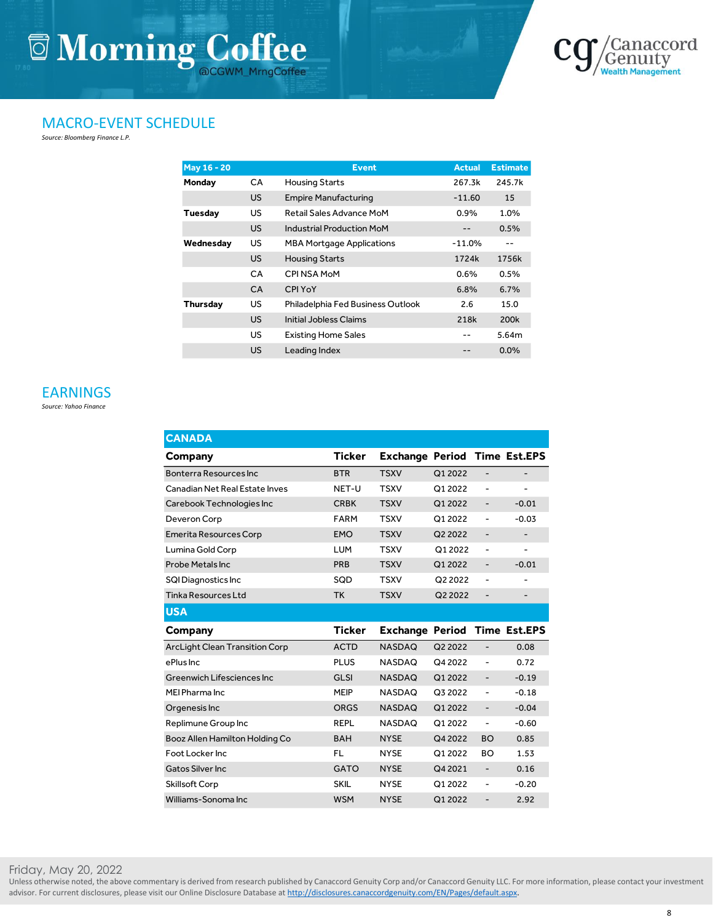

#### MACRO-EVENT SCHEDULE

*Source: Bloomberg Finance L.P.*

| <b>May 16 - 20</b> |           | <b>Event</b>                      | <b>Actual</b> | <b>Estimate</b> |
|--------------------|-----------|-----------------------------------|---------------|-----------------|
| Monday             | CA.       | Housing Starts                    | 267.3k        | 245.7k          |
|                    | <b>US</b> | <b>Empire Manufacturing</b>       | $-11.60$      | 15              |
| <b>Tuesday</b>     | US        | Retail Sales Advance MoM          | 0.9%          | 1.0%            |
|                    | US.       | <b>Industrial Production MoM</b>  |               | 0.5%            |
| Wednesday          | US.       | <b>MBA Mortgage Applications</b>  | $-11.0%$      |                 |
|                    | <b>US</b> | <b>Housing Starts</b>             | 1724k         | 1756k           |
|                    | <b>CA</b> | CPI NSA MoM                       | 0.6%          | 0.5%            |
|                    | <b>CA</b> | <b>CPI YoY</b>                    | 6.8%          | 6.7%            |
| <b>Thursday</b>    | US.       | Philadelphia Fed Business Outlook | 2.6           | 15.0            |
|                    | <b>US</b> | Initial Jobless Claims            | 218k          | 200k            |
|                    | <b>US</b> | <b>Existing Home Sales</b>        |               | 5.64m           |
|                    | US        | Leading Index                     |               | $0.0\%$         |

#### EARNINGS

*Source: Yahoo Finance*

| <b>CANADA</b>                         |               |                        |         |                          |                          |
|---------------------------------------|---------------|------------------------|---------|--------------------------|--------------------------|
| Company                               | <b>Ticker</b> | <b>Exchange Period</b> |         |                          | <b>Time Est.EPS</b>      |
| Bonterra Resources Inc.               | <b>BTR</b>    | <b>TSXV</b>            | Q1 2022 |                          | $\overline{\phantom{0}}$ |
| Canadian Net Real Estate Inves        | NET-U         | <b>TSXV</b>            | Q1 2022 | ÷                        | -                        |
| Carebook Technologies Inc             | <b>CRBK</b>   | <b>TSXV</b>            | Q1 2022 | -                        | $-0.01$                  |
| Deveron Corp                          | <b>FARM</b>   | <b>TSXV</b>            | Q1 2022 | $\overline{\phantom{0}}$ | $-0.03$                  |
| <b>Emerita Resources Corp</b>         | <b>EMO</b>    | <b>TSXV</b>            | Q2 2022 | -                        | -                        |
| Lumina Gold Corp                      | <b>LUM</b>    | <b>TSXV</b>            | Q1 2022 | -                        | ۰                        |
| <b>Probe Metals Inc</b>               | PRB           | <b>TSXV</b>            | Q1 2022 | -                        | $-0.01$                  |
| <b>SQI Diagnostics Inc</b>            | SQD           | <b>TSXV</b>            | Q2 2022 | $\overline{a}$           | ۰                        |
| <b>Tinka Resources Ltd</b>            | <b>TK</b>     | <b>TSXV</b>            | Q2 2022 | -                        |                          |
| <b>USA</b>                            |               |                        |         |                          |                          |
|                                       |               |                        |         |                          |                          |
| Company                               | <b>Ticker</b> | <b>Exchange Period</b> |         |                          | <b>Time Est.EPS</b>      |
| <b>ArcLight Clean Transition Corp</b> | <b>ACTD</b>   | <b>NASDAQ</b>          | Q2 2022 | $\overline{a}$           | 0.08                     |
| ePlus Inc.                            | <b>PLUS</b>   | <b>NASDAQ</b>          | Q4 2022 | $\overline{\phantom{0}}$ | 0.72                     |
| Greenwich Lifesciences Inc.           | <b>GLSI</b>   | <b>NASDAQ</b>          | Q1 2022 | $\overline{\phantom{0}}$ | $-0.19$                  |
| MEI Pharma Inc.                       | <b>MEIP</b>   | <b>NASDAQ</b>          | Q3 2022 | $\overline{\phantom{0}}$ | $-0.18$                  |
| Orgenesis Inc                         | <b>ORGS</b>   | <b>NASDAQ</b>          | Q1 2022 | $\overline{\phantom{m}}$ | $-0.04$                  |
| Replimune Group Inc                   | <b>REPL</b>   | <b>NASDAQ</b>          | Q1 2022 | $\overline{\phantom{0}}$ | $-0.60$                  |
| Booz Allen Hamilton Holding Co        | <b>BAH</b>    | <b>NYSE</b>            | Q4 2022 | <b>BO</b>                | 0.85                     |
| Foot Locker Inc                       | <b>FL</b>     | <b>NYSE</b>            | Q1 2022 | <b>BO</b>                | 1.53                     |
| <b>Gatos Silver Inc</b>               | <b>GATO</b>   | <b>NYSE</b>            | Q4 2021 | $\overline{\phantom{0}}$ | 0.16                     |
| Skillsoft Corp                        | <b>SKIL</b>   | <b>NYSE</b>            | Q1 2022 | $\overline{\phantom{0}}$ | $-0.20$                  |

Friday, May 20, 2022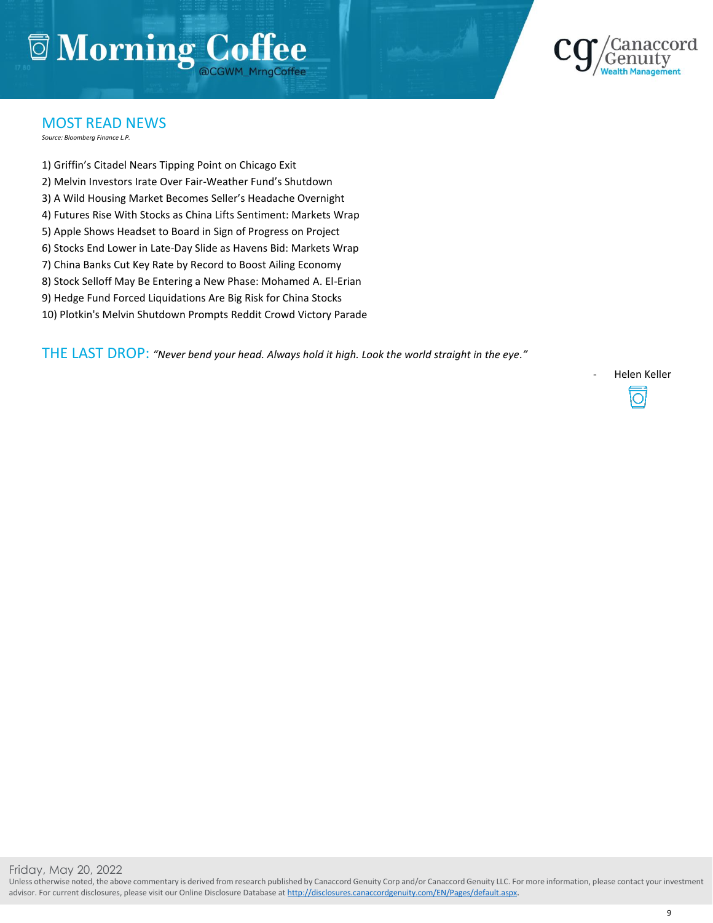### **Morning Coffee DCGWM MrngCoffee**



#### MOST READ NEWS

*Source: Bloomberg Finance L.P.*

1) Griffin's Citadel Nears Tipping Point on Chicago Exit 2) Melvin Investors Irate Over Fair-Weather Fund's Shutdown 3) A Wild Housing Market Becomes Seller's Headache Overnight 4) Futures Rise With Stocks as China Lifts Sentiment: Markets Wrap 5) Apple Shows Headset to Board in Sign of Progress on Project 6) Stocks End Lower in Late-Day Slide as Havens Bid: Markets Wrap 7) China Banks Cut Key Rate by Record to Boost Ailing Economy 8) Stock Selloff May Be Entering a New Phase: Mohamed A. El-Erian 9) Hedge Fund Forced Liquidations Are Big Risk for China Stocks 10) Plotkin's Melvin Shutdown Prompts Reddit Crowd Victory Parade

THE LAST DROP: *"Never bend your head. Always hold it high. Look the world straight in the eye."*

Helen Keller